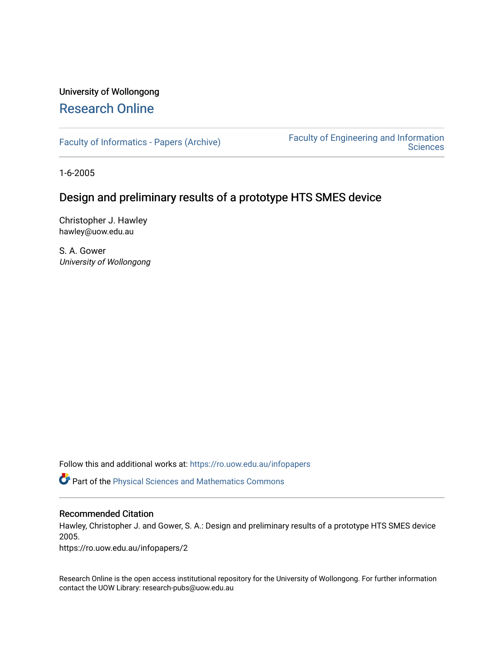# University of Wollongong [Research Online](https://ro.uow.edu.au/)

[Faculty of Informatics - Papers \(Archive\)](https://ro.uow.edu.au/infopapers) [Faculty of Engineering and Information](https://ro.uow.edu.au/eis)  **Sciences** 

1-6-2005

# Design and preliminary results of a prototype HTS SMES device

Christopher J. Hawley hawley@uow.edu.au

S. A. Gower University of Wollongong

Follow this and additional works at: [https://ro.uow.edu.au/infopapers](https://ro.uow.edu.au/infopapers?utm_source=ro.uow.edu.au%2Finfopapers%2F2&utm_medium=PDF&utm_campaign=PDFCoverPages)

Part of the [Physical Sciences and Mathematics Commons](http://network.bepress.com/hgg/discipline/114?utm_source=ro.uow.edu.au%2Finfopapers%2F2&utm_medium=PDF&utm_campaign=PDFCoverPages) 

## Recommended Citation

Hawley, Christopher J. and Gower, S. A.: Design and preliminary results of a prototype HTS SMES device 2005.

https://ro.uow.edu.au/infopapers/2

Research Online is the open access institutional repository for the University of Wollongong. For further information contact the UOW Library: research-pubs@uow.edu.au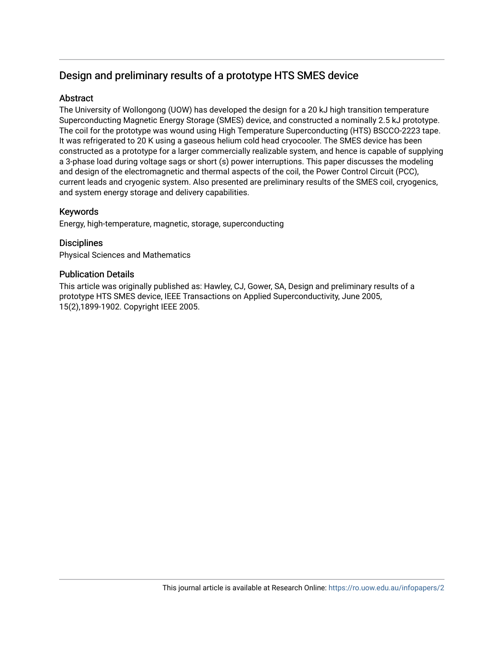# Design and preliminary results of a prototype HTS SMES device

# **Abstract**

The University of Wollongong (UOW) has developed the design for a 20 kJ high transition temperature Superconducting Magnetic Energy Storage (SMES) device, and constructed a nominally 2.5 kJ prototype. The coil for the prototype was wound using High Temperature Superconducting (HTS) BSCCO-2223 tape. It was refrigerated to 20 K using a gaseous helium cold head cryocooler. The SMES device has been constructed as a prototype for a larger commercially realizable system, and hence is capable of supplying a 3-phase load during voltage sags or short (s) power interruptions. This paper discusses the modeling and design of the electromagnetic and thermal aspects of the coil, the Power Control Circuit (PCC), current leads and cryogenic system. Also presented are preliminary results of the SMES coil, cryogenics, and system energy storage and delivery capabilities.

## Keywords

Energy, high-temperature, magnetic, storage, superconducting

## **Disciplines**

Physical Sciences and Mathematics

### Publication Details

This article was originally published as: Hawley, CJ, Gower, SA, Design and preliminary results of a prototype HTS SMES device, IEEE Transactions on Applied Superconductivity, June 2005, 15(2),1899-1902. Copyright IEEE 2005.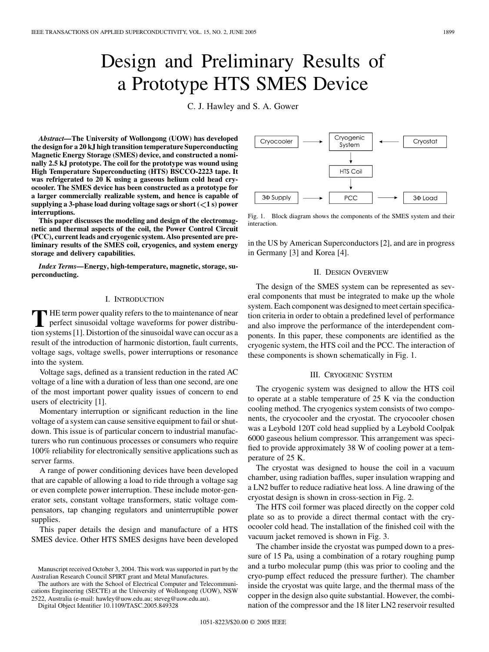# Design and Preliminary Results of a Prototype HTS SMES Device

C. J. Hawley and S. A. Gower

*Abstract—***The University of Wollongong (UOW) has developed the design for a 20 kJ high transition temperature Superconducting Magnetic Energy Storage (SMES) device, and constructed a nominally 2.5 kJ prototype. The coil for the prototype was wound using High Temperature Superconducting (HTS) BSCCO-2223 tape. It was refrigerated to 20 K using a gaseous helium cold head cryocooler. The SMES device has been constructed as a prototype for a larger commercially realizable system, and hence is capable of supplying a 3-phase load during voltage sags or short ( 1 s) power interruptions.**

**This paper discusses the modeling and design of the electromagnetic and thermal aspects of the coil, the Power Control Circuit (PCC), current leads and cryogenic system. Also presented are preliminary results of the SMES coil, cryogenics, and system energy storage and delivery capabilities.**

*Index Terms—***Energy, high-temperature, magnetic, storage, superconducting.**

#### I. INTRODUCTION

**T** HE term power quality refers to the to maintenance of near<br>perfect sinusoidal voltage waveforms for power distribu-<br>tion outware [1]. Distantion of the sinusoidal wave on a sensuo sec tion systems [[1\]](#page-5-0). Distortion of the sinusoidal wave can occur as a result of the introduction of harmonic distortion, fault currents, voltage sags, voltage swells, power interruptions or resonance into the system.

Voltage sags, defined as a transient reduction in the rated AC voltage of a line with a duration of less than one second, are one of the most important power quality issues of concern to end users of electricity [[1\]](#page-5-0).

Momentary interruption or significant reduction in the line voltage of a system can cause sensitive equipment to fail or shutdown. This issue is of particular concern to industrial manufacturers who run continuous processes or consumers who require 100% reliability for electronically sensitive applications such as server farms.

A range of power conditioning devices have been developed that are capable of allowing a load to ride through a voltage sag or even complete power interruption. These include motor-generator sets, constant voltage transformers, static voltage compensators, tap changing regulators and uninterruptible power supplies.

This paper details the design and manufacture of a HTS SMES device. Other HTS SMES designs have been developed

The authors are with the School of Electrical Computer and Telecommunications Engineering (SECTE) at the University of Wollongong (UOW), NSW 2522, Australia (e-mail: hawley@uow.edu.au; steveg@uow.edu.au).

Digital Object Identifier 10.1109/TASC.2005.849328

Cryogenic Cryocooler Cryostat System **HTS Coil** 3¢ Supply PCC  $30$  Load

Fig. 1. Block diagram shows the components of the SMES system and their interaction.

in the US by American Superconductors [\[2](#page-5-0)], and are in progress in Germany [[3\]](#page-5-0) and Korea [\[4](#page-5-0)].

#### II. DESIGN OVERVIEW

The design of the SMES system can be represented as several components that must be integrated to make up the whole system. Each component was designed to meet certain specification criteria in order to obtain a predefined level of performance and also improve the performance of the interdependent components. In this paper, these components are identified as the cryogenic system, the HTS coil and the PCC. The interaction of these components is shown schematically in Fig. 1.

#### III. CRYOGENIC SYSTEM

The cryogenic system was designed to allow the HTS coil to operate at a stable temperature of 25 K via the conduction cooling method. The cryogenics system consists of two components, the cryocooler and the cryostat. The cryocooler chosen was a Leybold 120T cold head supplied by a Leybold Coolpak 6000 gaseous helium compressor. This arrangement was specified to provide approximately 38 W of cooling power at a temperature of 25 K.

The cryostat was designed to house the coil in a vacuum chamber, using radiation baffles, super insulation wrapping and a LN2 buffer to reduce radiative heat loss. A line drawing of the cryostat design is shown in cross-section in Fig. 2.

The HTS coil former was placed directly on the copper cold plate so as to provide a direct thermal contact with the cryocooler cold head. The installation of the finished coil with the vacuum jacket removed is shown in Fig. 3.

The chamber inside the cryostat was pumped down to a pressure of 15 Pa, using a combination of a rotary roughing pump and a turbo molecular pump (this was prior to cooling and the cryo-pump effect reduced the pressure further). The chamber inside the cryostat was quite large, and the thermal mass of the copper in the design also quite substantial. However, the combination of the compressor and the 18 liter LN2 reservoir resulted



Manuscript received October 3, 2004. This work was supported in part by the Australian Research Council SPIRT grant and Metal Manufactures.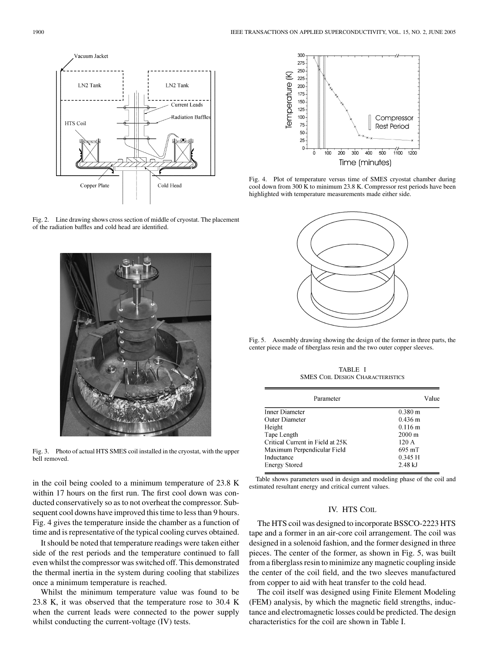

Fig. 2. Line drawing shows cross section of middle of cryostat. The placement of the radiation baffles and cold head are identified.



Fig. 3. Photo of actual HTS SMES coil installed in the cryostat, with the upper bell removed.

in the coil being cooled to a minimum temperature of 23.8 K within 17 hours on the first run. The first cool down was conducted conservatively so as to not overheat the compressor. Subsequent cool downs have improved this time to less than 9 hours. Fig. 4 gives the temperature inside the chamber as a function of time and is representative of the typical cooling curves obtained.

It should be noted that temperature readings were taken either side of the rest periods and the temperature continued to fall even whilst the compressor was switched off. This demonstrated the thermal inertia in the system during cooling that stabilizes once a minimum temperature is reached.

Whilst the minimum temperature value was found to be 23.8 K, it was observed that the temperature rose to 30.4 K when the current leads were connected to the power supply whilst conducting the current-voltage (IV) tests.



Fig. 4. Plot of temperature versus time of SMES cryostat chamber during cool down from 300 K to minimum 23.8 K. Compressor rest periods have been highlighted with temperature measurements made either side.



Fig. 5. Assembly drawing showing the design of the former in three parts, the center piece made of fiberglass resin and the two outer copper sleeves.

TABLE I SMES COIL DESIGN CHARACTERISTICS

| Parameter                        | Value             |
|----------------------------------|-------------------|
| Inner Diameter                   | $0.380 \text{ m}$ |
| Outer Diameter                   | $0.436 \text{ m}$ |
| Height                           | $0.116 \text{ m}$ |
| Tape Length                      | $2000 \text{ m}$  |
| Critical Current in Field at 25K | 120A              |
| Maximum Perpendicular Field      | 695 mT            |
| Inductance                       | 0.345 H           |
| <b>Energy Stored</b>             | $2.48$ kJ         |

Table shows parameters used in design and modeling phase of the coil and estimated resultant energy and critical current values.

#### IV. HTS COIL

The HTS coil was designed to incorporate BSSCO-2223 HTS tape and a former in an air-core coil arrangement. The coil was designed in a solenoid fashion, and the former designed in three pieces. The center of the former, as shown in Fig. 5, was built from a fiberglass resin to minimize any magnetic coupling inside the center of the coil field, and the two sleeves manufactured from copper to aid with heat transfer to the cold head.

The coil itself was designed using Finite Element Modeling (FEM) analysis, by which the magnetic field strengths, inductance and electromagnetic losses could be predicted. The design characteristics for the coil are shown in Table I.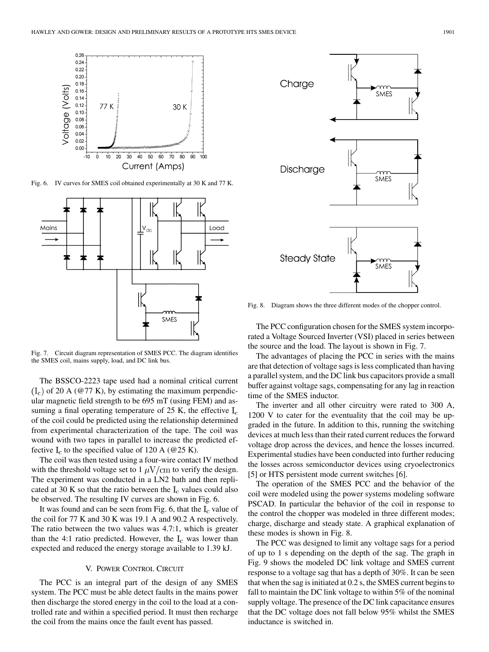

Fig. 6. IV curves for SMES coil obtained experimentally at 30 K and 77 K.



Fig. 7. Circuit diagram representation of SMES PCC. The diagram identifies the SMES coil, mains supply, load, and DC link bus.

The BSSCO-2223 tape used had a nominal critical current  $(I_c)$  of 20 A (@77 K), by estimating the maximum perpendicular magnetic field strength to be 695 mT (using FEM) and assuming a final operating temperature of 25 K, the effective  $I_c$ of the coil could be predicted using the relationship determined from experimental characterization of the tape. The coil was wound with two tapes in parallel to increase the predicted effective  $I_c$  to the specified value of 120 A (@25 K).

The coil was then tested using a four-wire contact IV method with the threshold voltage set to  $1 \mu \text{V/cm}$  to verify the design. The experiment was conducted in a LN2 bath and then replicated at 30 K so that the ratio between the  $I_c$  values could also be observed. The resulting IV curves are shown in Fig. 6.

It was found and can be seen from Fig. 6, that the  $I_c$  value of the coil for 77 K and 30 K was 19.1 A and 90.2 A respectively. The ratio between the two values was 4.7:1, which is greater than the 4:1 ratio predicted. However, the  $I_c$  was lower than expected and reduced the energy storage available to 1.39 kJ.

#### V. POWER CONTROL CIRCUIT

The PCC is an integral part of the design of any SMES system. The PCC must be able detect faults in the mains power then discharge the stored energy in the coil to the load at a controlled rate and within a specified period. It must then recharge the coil from the mains once the fault event has passed.



Fig. 8. Diagram shows the three different modes of the chopper control.

The PCC configuration chosen for the SMES system incorporated a Voltage Sourced Inverter (VSI) placed in series between the source and the load. The layout is shown in Fig. 7.

The advantages of placing the PCC in series with the mains are that detection of voltage sags is less complicated than having a parallel system, and the DC link bus capacitors provide a small buffer against voltage sags, compensating for any lag in reaction time of the SMES inductor.

The inverter and all other circuitry were rated to 300 A, 1200 V to cater for the eventuality that the coil may be upgraded in the future. In addition to this, running the switching devices at much less than their rated current reduces the forward voltage drop across the devices, and hence the losses incurred. Experimental studies have been conducted into further reducing the losses across semiconductor devices using cryoelectronics [\[5](#page-5-0)] or HTS persistent mode current switches [\[6](#page-5-0)].

The operation of the SMES PCC and the behavior of the coil were modeled using the power systems modeling software PSCAD. In particular the behavior of the coil in response to the control the chopper was modeled in three different modes; charge, discharge and steady state. A graphical explanation of these modes is shown in Fig. 8.

The PCC was designed to limit any voltage sags for a period of up to 1 s depending on the depth of the sag. The graph in Fig. 9 shows the modeled DC link voltage and SMES current response to a voltage sag that has a depth of 30%. It can be seen that when the sag is initiated at 0.2 s, the SMES current begins to fall to maintain the DC link voltage to within 5% of the nominal supply voltage. The presence of the DC link capacitance ensures that the DC voltage does not fall below 95% whilst the SMES inductance is switched in.